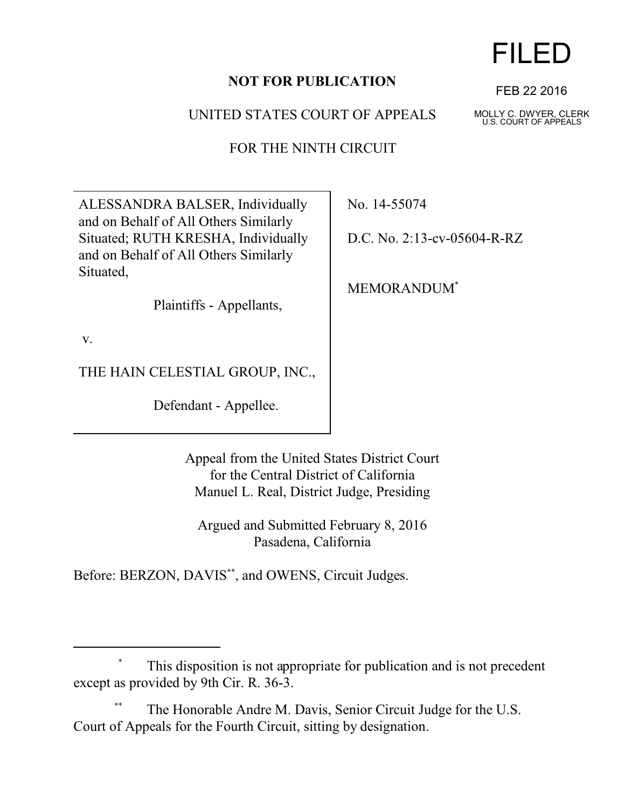## **NOT FOR PUBLICATION**

UNITED STATES COURT OF APPEALS

FOR THE NINTH CIRCUIT

ALESSANDRA BALSER, Individually and on Behalf of All Others Similarly Situated; RUTH KRESHA, Individually and on Behalf of All Others Similarly Situated,

Plaintiffs - Appellants,

v.

THE HAIN CELESTIAL GROUP, INC.,

Defendant - Appellee.

No. 14-55074

D.C. No. 2:13-cv-05604-R-RZ

MEMORANDUM\*

Appeal from the United States District Court for the Central District of California Manuel L. Real, District Judge, Presiding

Argued and Submitted February 8, 2016 Pasadena, California

Before: BERZON, DAVIS<sup>\*\*</sup>, and OWENS, Circuit Judges.

## This disposition is not appropriate for publication and is not precedent except as provided by 9th Cir. R. 36-3.

The Honorable Andre M. Davis, Senior Circuit Judge for the U.S. Court of Appeals for the Fourth Circuit, sitting by designation.



FEB 22 2016

MOLLY C. DWYER, CLERK U.S. COURT OF APPEALS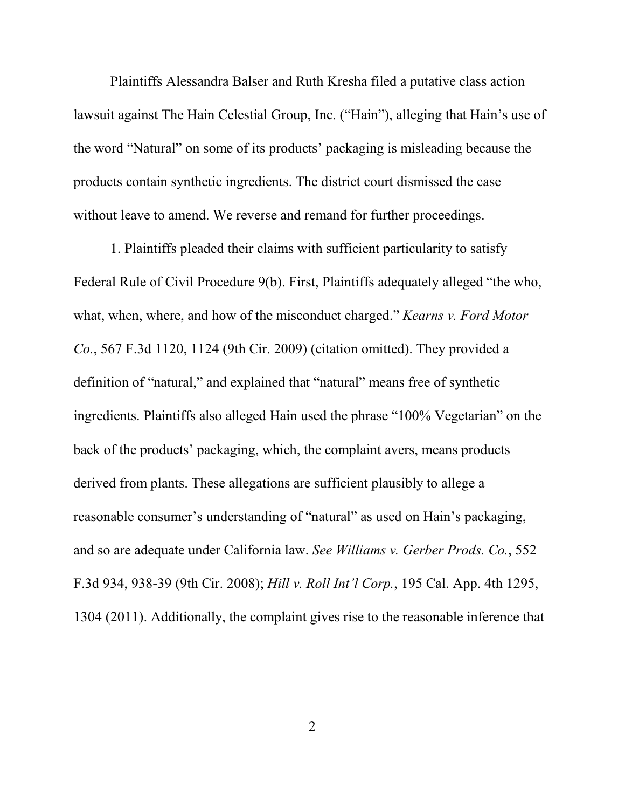Plaintiffs Alessandra Balser and Ruth Kresha filed a putative class action lawsuit against The Hain Celestial Group, Inc. ("Hain"), alleging that Hain's use of the word "Natural" on some of its products' packaging is misleading because the products contain synthetic ingredients. The district court dismissed the case without leave to amend. We reverse and remand for further proceedings.

1. Plaintiffs pleaded their claims with sufficient particularity to satisfy Federal Rule of Civil Procedure 9(b). First, Plaintiffs adequately alleged "the who, what, when, where, and how of the misconduct charged." *Kearns v. Ford Motor Co.*, 567 F.3d 1120, 1124 (9th Cir. 2009) (citation omitted). They provided a definition of "natural," and explained that "natural" means free of synthetic ingredients. Plaintiffs also alleged Hain used the phrase "100% Vegetarian" on the back of the products' packaging, which, the complaint avers, means products derived from plants. These allegations are sufficient plausibly to allege a reasonable consumer's understanding of "natural" as used on Hain's packaging, and so are adequate under California law. *See Williams v. Gerber Prods. Co.*, 552 F.3d 934, 938-39 (9th Cir. 2008); *Hill v. Roll Int'l Corp.*, 195 Cal. App. 4th 1295, 1304 (2011). Additionally, the complaint gives rise to the reasonable inference that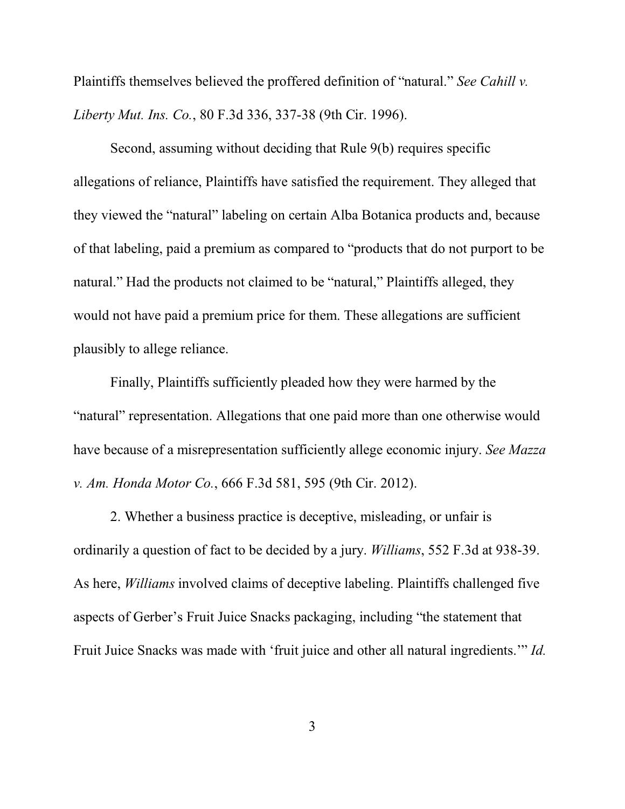Plaintiffs themselves believed the proffered definition of "natural." *See Cahill v. Liberty Mut. Ins. Co.*, 80 F.3d 336, 337-38 (9th Cir. 1996).

Second, assuming without deciding that Rule 9(b) requires specific allegations of reliance, Plaintiffs have satisfied the requirement. They alleged that they viewed the "natural" labeling on certain Alba Botanica products and, because of that labeling, paid a premium as compared to "products that do not purport to be natural." Had the products not claimed to be "natural," Plaintiffs alleged, they would not have paid a premium price for them. These allegations are sufficient plausibly to allege reliance.

Finally, Plaintiffs sufficiently pleaded how they were harmed by the "natural" representation. Allegations that one paid more than one otherwise would have because of a misrepresentation sufficiently allege economic injury. *See Mazza v. Am. Honda Motor Co.*, 666 F.3d 581, 595 (9th Cir. 2012).

2. Whether a business practice is deceptive, misleading, or unfair is ordinarily a question of fact to be decided by a jury. *Williams*, 552 F.3d at 938-39. As here, *Williams* involved claims of deceptive labeling. Plaintiffs challenged five aspects of Gerber's Fruit Juice Snacks packaging, including "the statement that Fruit Juice Snacks was made with 'fruit juice and other all natural ingredients.'" *Id.*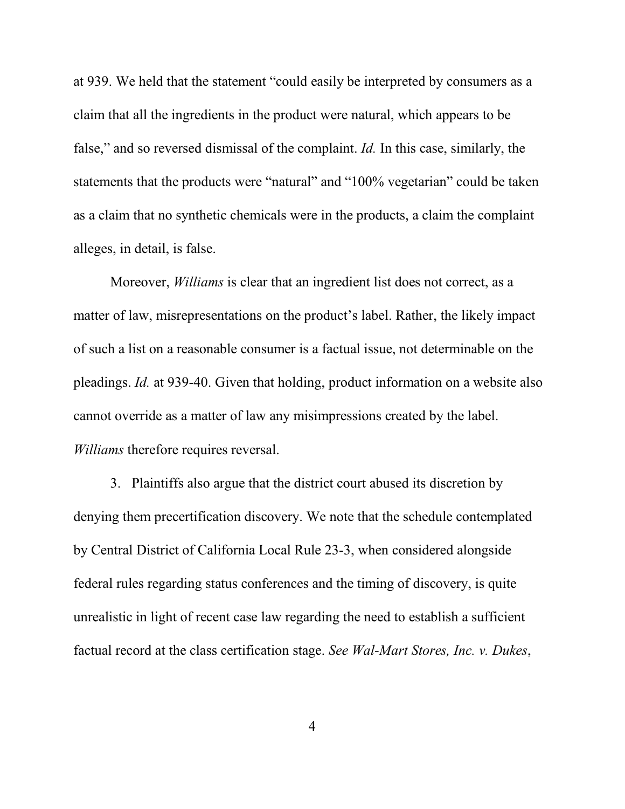at 939. We held that the statement "could easily be interpreted by consumers as a claim that all the ingredients in the product were natural, which appears to be false," and so reversed dismissal of the complaint. *Id.* In this case, similarly, the statements that the products were "natural" and "100% vegetarian" could be taken as a claim that no synthetic chemicals were in the products, a claim the complaint alleges, in detail, is false.

Moreover, *Williams* is clear that an ingredient list does not correct, as a matter of law, misrepresentations on the product's label. Rather, the likely impact of such a list on a reasonable consumer is a factual issue, not determinable on the pleadings. *Id.* at 939-40. Given that holding, product information on a website also cannot override as a matter of law any misimpressions created by the label. *Williams* therefore requires reversal.

3. Plaintiffs also argue that the district court abused its discretion by denying them precertification discovery. We note that the schedule contemplated by Central District of California Local Rule 23-3, when considered alongside federal rules regarding status conferences and the timing of discovery, is quite unrealistic in light of recent case law regarding the need to establish a sufficient factual record at the class certification stage. *See Wal-Mart Stores, Inc. v. Dukes*,

4